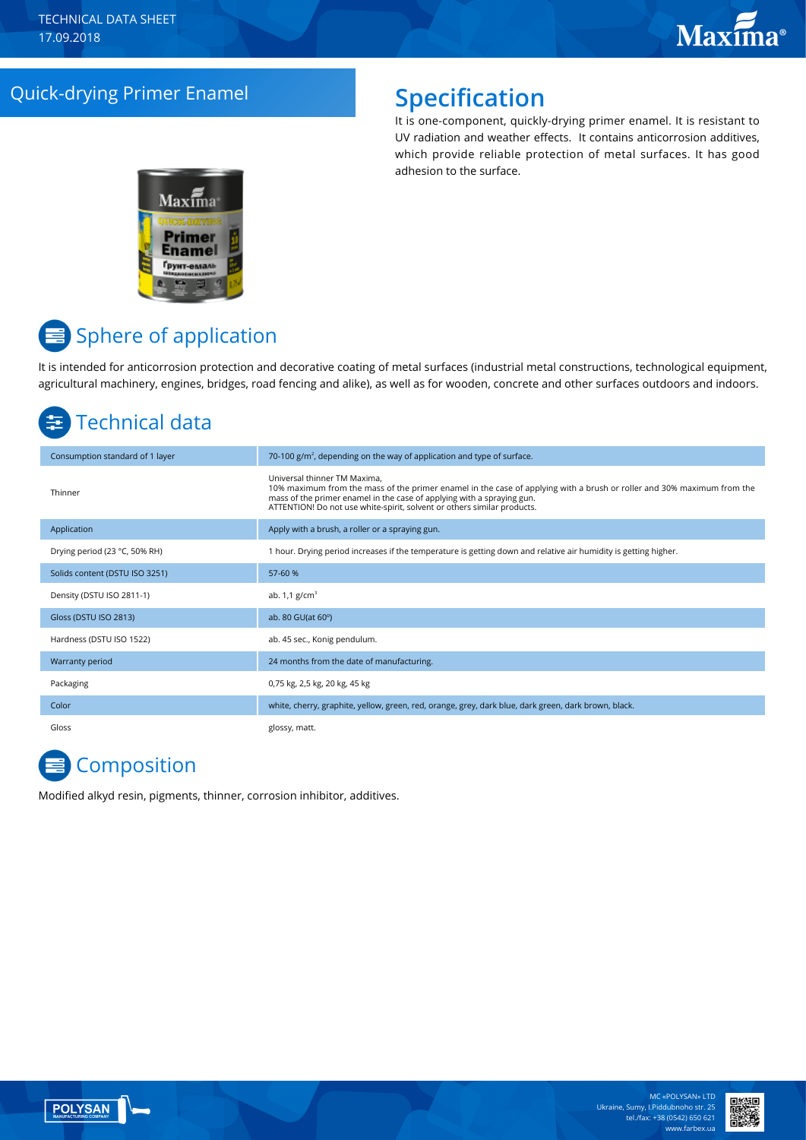## Quick-drying Primer Enamel **Specification**

It is one-component, quickly-drying primer enamel. It is resistant to UV radiation and weather effects. It contains anticorrosion additives, which provide reliable protection of metal surfaces. It has good adhesion to the surface.



# **■** Sphere of application

It is intended for anticorrosion protection and decorative coating of metal surfaces (industrial metal constructions, technological equipment, agricultural machinery, engines, bridges, road fencing and alike), as well as for wooden, concrete and other surfaces outdoors and indoors.

## Technical data

| Consumption standard of 1 layer | 70-100 $g/m2$ , depending on the way of application and type of surface.                                                                                                                                                                                                                                    |
|---------------------------------|-------------------------------------------------------------------------------------------------------------------------------------------------------------------------------------------------------------------------------------------------------------------------------------------------------------|
| Thinner                         | Universal thinner TM Maxima.<br>10% maximum from the mass of the primer enamel in the case of applying with a brush or roller and 30% maximum from the<br>mass of the primer enamel in the case of applying with a spraying gun.<br>ATTENTION! Do not use white-spirit, solvent or others similar products. |
| Application                     | Apply with a brush, a roller or a spraying gun.                                                                                                                                                                                                                                                             |
| Drying period (23 °C, 50% RH)   | 1 hour. Drying period increases if the temperature is getting down and relative air humidity is getting higher.                                                                                                                                                                                             |
| Solids content (DSTU ISO 3251)  | 57-60 %                                                                                                                                                                                                                                                                                                     |
| Density (DSTU ISO 2811-1)       | ab. $1,1$ g/cm <sup>3</sup>                                                                                                                                                                                                                                                                                 |
| Gloss (DSTU ISO 2813)           | ab. 80 GU(at 60°)                                                                                                                                                                                                                                                                                           |
| Hardness (DSTU ISO 1522)        | ab. 45 sec., Konig pendulum.                                                                                                                                                                                                                                                                                |
| Warranty period                 | 24 months from the date of manufacturing.                                                                                                                                                                                                                                                                   |
| Packaging                       | 0,75 kg, 2,5 kg, 20 kg, 45 kg                                                                                                                                                                                                                                                                               |
| Color                           | white, cherry, graphite, yellow, green, red, orange, grey, dark blue, dark green, dark brown, black.                                                                                                                                                                                                        |
| Gloss                           | glossy, matt.                                                                                                                                                                                                                                                                                               |

# **E** Composition

Modified alkyd resin, pigments, thinner, corrosion inhibitor, additives.